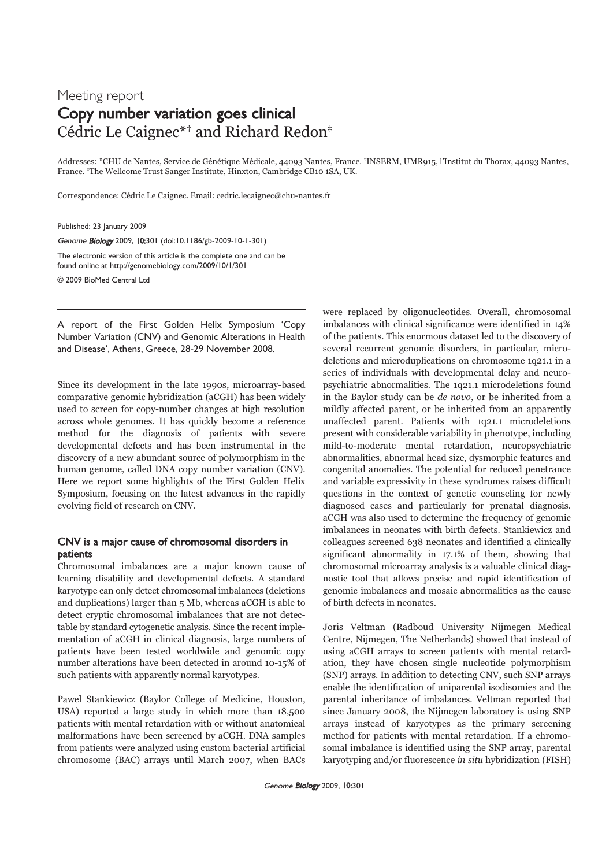## Meeting report Copy number variation goes clinical Cédric Le Caignec\*† and Richard Redon‡

Addresses: \*CHU de Nantes, Service de Génétique Médicale, 44093 Nantes, France. †INSERM, UMR915, l'Institut du Thorax, 44093 Nantes, France. ‡The Wellcome Trust Sanger Institute, Hinxton, Cambridge CB10 1SA, UK.

Correspondence: Cédric Le Caignec. Email: cedric.lecaignec@chu-nantes.fr

Published: 23 January 2009

Genome Biology 2009, 10:301 (doi:10.1186/gb-2009-10-1-301)

The electronic version of this article is the complete one and can be found online at http://genomebiology.com/2009/10/1/301

© 2009 BioMed Central Ltd

A report of the First Golden Helix Symposium 'Copy Number Variation (CNV) and Genomic Alterations in Health and Disease', Athens, Greece, 28-29 November 2008.

Since its development in the late 1990s, microarray-based comparative genomic hybridization (aCGH) has been widely used to screen for copy-number changes at high resolution across whole genomes. It has quickly become a reference method for the diagnosis of patients with severe developmental defects and has been instrumental in the discovery of a new abundant source of polymorphism in the human genome, called DNA copy number variation (CNV). Here we report some highlights of the First Golden Helix Symposium, focusing on the latest advances in the rapidly evolving field of research on CNV.

## CNV is a major cause of chromosomal disorders in patients

Chromosomal imbalances are a major known cause of learning disability and developmental defects. A standard karyotype can only detect chromosomal imbalances (deletions and duplications) larger than 5 Mb, whereas aCGH is able to detect cryptic chromosomal imbalances that are not detectable by standard cytogenetic analysis. Since the recent implementation of aCGH in clinical diagnosis, large numbers of patients have been tested worldwide and genomic copy number alterations have been detected in around 10-15% of such patients with apparently normal karyotypes.

Pawel Stankiewicz (Baylor College of Medicine, Houston, USA) reported a large study in which more than 18,500 patients with mental retardation with or without anatomical malformations have been screened by aCGH. DNA samples from patients were analyzed using custom bacterial artificial chromosome (BAC) arrays until March 2007, when BACs

were replaced by oligonucleotides. Overall, chromosomal imbalances with clinical significance were identified in 14% of the patients. This enormous dataset led to the discovery of several recurrent genomic disorders, in particular, microdeletions and microduplications on chromosome 1q21.1 in a series of individuals with developmental delay and neuropsychiatric abnormalities. The 1q21.1 microdeletions found in the Baylor study can be de novo, or be inherited from a mildly affected parent, or be inherited from an apparently unaffected parent. Patients with 1q21.1 microdeletions present with considerable variability in phenotype, including mild-to-moderate mental retardation, neuropsychiatric abnormalities, abnormal head size, dysmorphic features and congenital anomalies. The potential for reduced penetrance and variable expressivity in these syndromes raises difficult questions in the context of genetic counseling for newly diagnosed cases and particularly for prenatal diagnosis. aCGH was also used to determine the frequency of genomic imbalances in neonates with birth defects. Stankiewicz and colleagues screened 638 neonates and identified a clinically significant abnormality in 17.1% of them, showing that chromosomal microarray analysis is a valuable clinical diagnostic tool that allows precise and rapid identification of genomic imbalances and mosaic abnormalities as the cause of birth defects in neonates.

Joris Veltman (Radboud University Nijmegen Medical Centre, Nijmegen, The Netherlands) showed that instead of using aCGH arrays to screen patients with mental retardation, they have chosen single nucleotide polymorphism (SNP) arrays. In addition to detecting CNV, such SNP arrays enable the identification of uniparental isodisomies and the parental inheritance of imbalances. Veltman reported that since January 2008, the Nijmegen laboratory is using SNP arrays instead of karyotypes as the primary screening method for patients with mental retardation. If a chromosomal imbalance is identified using the SNP array, parental karyotyping and/or fluorescence in situ hybridization (FISH)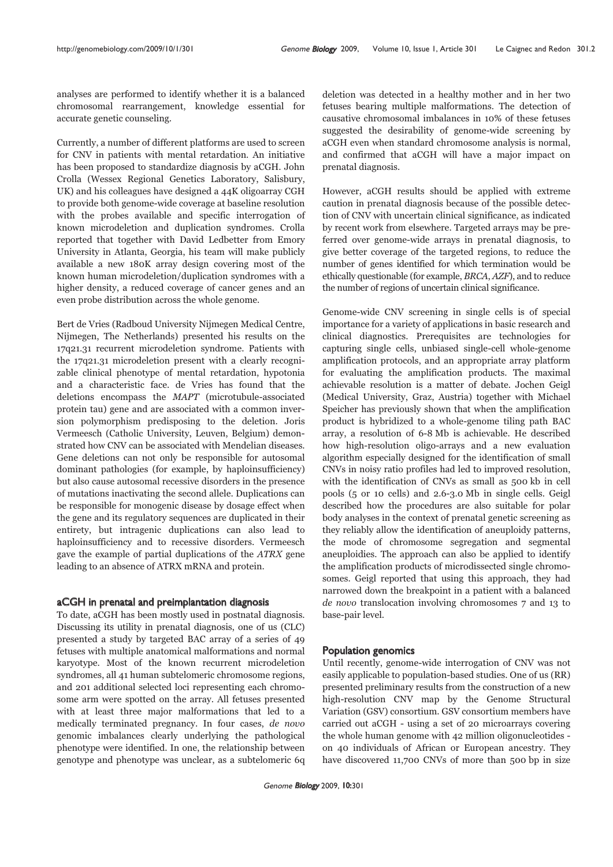analyses are performed to identify whether it is a balanced chromosomal rearrangement, knowledge essential for accurate genetic counseling.

Currently, a number of different platforms are used to screen for CNV in patients with mental retardation. An initiative has been proposed to standardize diagnosis by aCGH. John Crolla (Wessex Regional Genetics Laboratory, Salisbury, UK) and his colleagues have designed a 44K oligoarray CGH to provide both genome-wide coverage at baseline resolution with the probes available and specific interrogation of known microdeletion and duplication syndromes. Crolla reported that together with David Ledbetter from Emory University in Atlanta, Georgia, his team will make publicly available a new 180K array design covering most of the known human microdeletion/duplication syndromes with a higher density, a reduced coverage of cancer genes and an even probe distribution across the whole genome.

Bert de Vries (Radboud University Nijmegen Medical Centre, Nijmegen, The Netherlands) presented his results on the 17q21.31 recurrent microdeletion syndrome. Patients with the 17q21.31 microdeletion present with a clearly recognizable clinical phenotype of mental retardation, hypotonia and a characteristic face. de Vries has found that the deletions encompass the MAPT (microtubule-associated protein tau) gene and are associated with a common inversion polymorphism predisposing to the deletion. Joris Vermeesch (Catholic University, Leuven, Belgium) demonstrated how CNV can be associated with Mendelian diseases. Gene deletions can not only be responsible for autosomal dominant pathologies (for example, by haploinsufficiency) but also cause autosomal recessive disorders in the presence of mutations inactivating the second allele. Duplications can be responsible for monogenic disease by dosage effect when the gene and its regulatory sequences are duplicated in their entirety, but intragenic duplications can also lead to haploinsufficiency and to recessive disorders. Vermeesch gave the example of partial duplications of the ATRX gene leading to an absence of ATRX mRNA and protein.

## aCGH in prenatal and preimplantation diagnosis

To date, aCGH has been mostly used in postnatal diagnosis. Discussing its utility in prenatal diagnosis, one of us (CLC) presented a study by targeted BAC array of a series of 49 fetuses with multiple anatomical malformations and normal karyotype. Most of the known recurrent microdeletion syndromes, all 41 human subtelomeric chromosome regions, and 201 additional selected loci representing each chromosome arm were spotted on the array. All fetuses presented with at least three major malformations that led to a medically terminated pregnancy. In four cases, de novo genomic imbalances clearly underlying the pathological phenotype were identified. In one, the relationship between genotype and phenotype was unclear, as a subtelomeric 6q

deletion was detected in a healthy mother and in her two fetuses bearing multiple malformations. The detection of causative chromosomal imbalances in 10% of these fetuses suggested the desirability of genome-wide screening by aCGH even when standard chromosome analysis is normal, and confirmed that aCGH will have a major impact on prenatal diagnosis.

However, aCGH results should be applied with extreme caution in prenatal diagnosis because of the possible detection of CNV with uncertain clinical significance, as indicated by recent work from elsewhere. Targeted arrays may be preferred over genome-wide arrays in prenatal diagnosis, to give better coverage of the targeted regions, to reduce the number of genes identified for which termination would be ethically questionable (for example, BRCA, AZF), and to reduce the number of regions of uncertain clinical significance.

Genome-wide CNV screening in single cells is of special importance for a variety of applications in basic research and clinical diagnostics. Prerequisites are technologies for capturing single cells, unbiased single-cell whole-genome amplification protocols, and an appropriate array platform for evaluating the amplification products. The maximal achievable resolution is a matter of debate. Jochen Geigl (Medical University, Graz, Austria) together with Michael Speicher has previously shown that when the amplification product is hybridized to a whole-genome tiling path BAC array, a resolution of 6-8 Mb is achievable. He described how high-resolution oligo-arrays and a new evaluation algorithm especially designed for the identification of small CNVs in noisy ratio profiles had led to improved resolution, with the identification of CNVs as small as 500 kb in cell pools (5 or 10 cells) and 2.6-3.0 Mb in single cells. Geigl described how the procedures are also suitable for polar body analyses in the context of prenatal genetic screening as they reliably allow the identification of aneuploidy patterns, the mode of chromosome segregation and segmental aneuploidies. The approach can also be applied to identify the amplification products of microdissected single chromosomes. Geigl reported that using this approach, they had narrowed down the breakpoint in a patient with a balanced de novo translocation involving chromosomes 7 and 13 to base-pair level.

## Population genomics

Until recently, genome-wide interrogation of CNV was not easily applicable to population-based studies. One of us (RR) presented preliminary results from the construction of a new high-resolution CNV map by the Genome Structural Variation (GSV) consortium. GSV consortium members have carried out aCGH - using a set of 20 microarrays covering the whole human genome with 42 million oligonucleotides on 40 individuals of African or European ancestry. They have discovered 11,700 CNVs of more than 500 bp in size